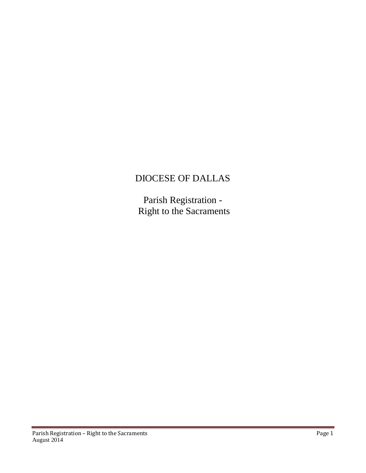## DIOCESE OF DALLAS

Parish Registration - Right to the Sacraments